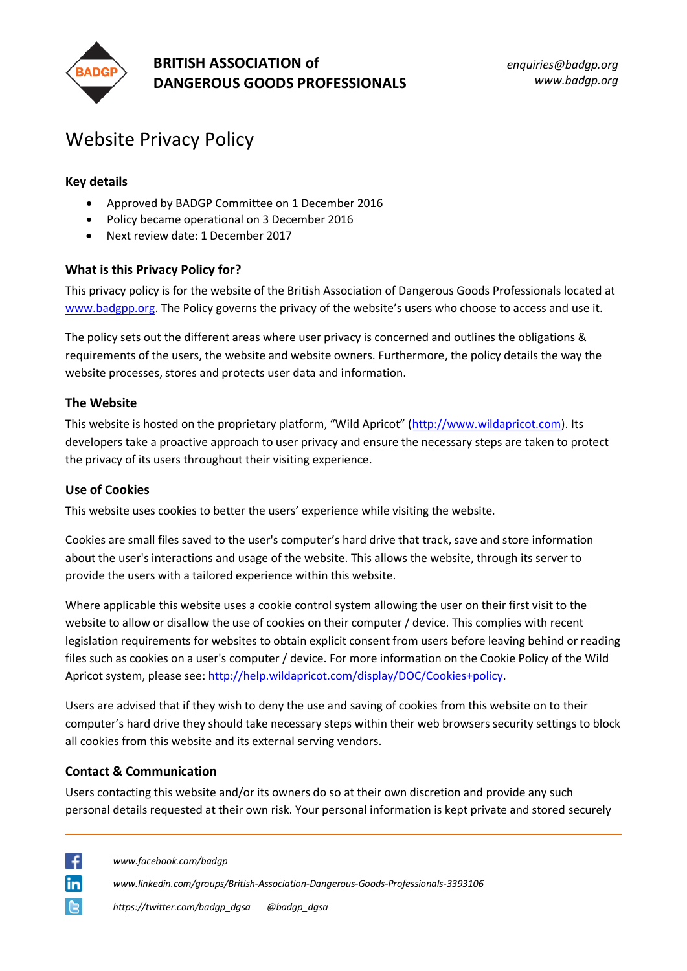

# **BRITISH ASSOCIATION of DANGEROUS GOODS PROFESSIONALS**

*enquiries@badgp.org www.badgp.org*

# Website Privacy Policy

# **Key details**

- Approved by BADGP Committee on 1 December 2016
- Policy became operational on 3 December 2016
- Next review date: 1 December 2017

# **What is this Privacy Policy for?**

This privacy policy is for the website of the British Association of Dangerous Goods Professionals located at [www.badgpp.org.](http://www.badgpp.org/) The Policy governs the privacy of the website's users who choose to access and use it.

The policy sets out the different areas where user privacy is concerned and outlines the obligations & requirements of the users, the website and website owners. Furthermore, the policy details the way the website processes, stores and protects user data and information.

#### **The Website**

This website is hosted on the proprietary platform, "Wild Apricot" ([http://www.wildapricot.com\)](http://www.wildapricot.com/). Its developers take a proactive approach to user privacy and ensure the necessary steps are taken to protect the privacy of its users throughout their visiting experience.

#### **Use of Cookies**

This website uses cookies to better the users' experience while visiting the website.

Cookies are small files saved to the user's computer's hard drive that track, save and store information about the user's interactions and usage of the website. This allows the website, through its server to provide the users with a tailored experience within this website.

Where applicable this website uses a cookie control system allowing the user on their first visit to the website to allow or disallow the use of cookies on their computer / device. This complies with recent legislation requirements for websites to obtain explicit consent from users before leaving behind or reading files such as cookies on a user's computer / device. For more information on the Cookie Policy of the Wild Apricot system, please see[: http://help.wildapricot.com/display/DOC/Cookies+policy.](http://help.wildapricot.com/display/DOC/Cookies+policy)

Users are advised that if they wish to deny the use and saving of cookies from this website on to their computer's hard drive they should take necessary steps within their web browsers security settings to block all cookies from this website and its external serving vendors.

#### **Contact & Communication**

Users contacting this website and/or its owners do so at their own discretion and provide any such personal details requested at their own risk. Your personal information is kept private and stored securely

∣ ∉ lin

*www.facebook.com/badgp*

*www.linkedin.com/groups/British-Association-Dangerous-Goods-Professionals-3393106*

*https://twitter.com/badgp\_dgsa @badgp\_dgsa*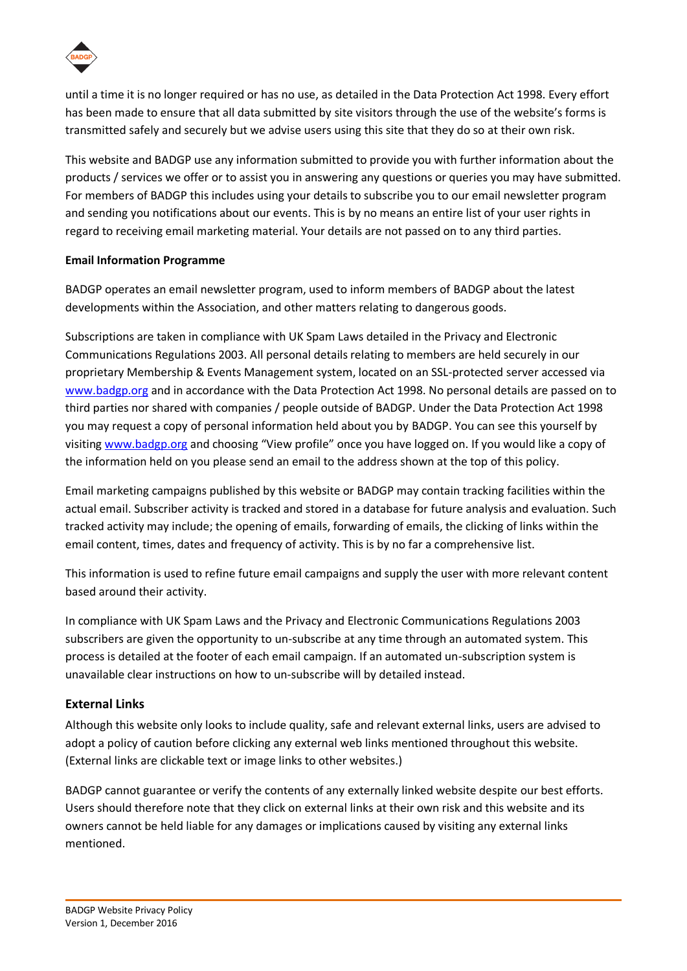

until a time it is no longer required or has no use, as detailed in the Data Protection Act 1998. Every effort has been made to ensure that all data submitted by site visitors through the use of the website's forms is transmitted safely and securely but we advise users using this site that they do so at their own risk.

This website and BADGP use any information submitted to provide you with further information about the products / services we offer or to assist you in answering any questions or queries you may have submitted. For members of BADGP this includes using your details to subscribe you to our email newsletter program and sending you notifications about our events. This is by no means an entire list of your user rights in regard to receiving email marketing material. Your details are not passed on to any third parties.

# **Email Information Programme**

BADGP operates an email newsletter program, used to inform members of BADGP about the latest developments within the Association, and other matters relating to dangerous goods.

Subscriptions are taken in compliance with UK Spam Laws detailed in the Privacy and Electronic Communications Regulations 2003. All personal details relating to members are held securely in our proprietary Membership & Events Management system, located on an SSL-protected server accessed via [www.badgp.org](http://www.badgp.org/) and in accordance with the Data Protection Act 1998. No personal details are passed on to third parties nor shared with companies / people outside of BADGP. Under the Data Protection Act 1998 you may request a copy of personal information held about you by BADGP. You can see this yourself by visiting [www.badgp.org](http://www.badgp.org/) and choosing "View profile" once you have logged on. If you would like a copy of the information held on you please send an email to the address shown at the top of this policy.

Email marketing campaigns published by this website or BADGP may contain tracking facilities within the actual email. Subscriber activity is tracked and stored in a database for future analysis and evaluation. Such tracked activity may include; the opening of emails, forwarding of emails, the clicking of links within the email content, times, dates and frequency of activity. This is by no far a comprehensive list.

This information is used to refine future email campaigns and supply the user with more relevant content based around their activity.

In compliance with UK Spam Laws and the Privacy and Electronic Communications Regulations 2003 subscribers are given the opportunity to un-subscribe at any time through an automated system. This process is detailed at the footer of each email campaign. If an automated un-subscription system is unavailable clear instructions on how to un-subscribe will by detailed instead.

# **External Links**

Although this website only looks to include quality, safe and relevant external links, users are advised to adopt a policy of caution before clicking any external web links mentioned throughout this website. (External links are clickable text or image links to other websites.)

BADGP cannot guarantee or verify the contents of any externally linked website despite our best efforts. Users should therefore note that they click on external links at their own risk and this website and its owners cannot be held liable for any damages or implications caused by visiting any external links mentioned.